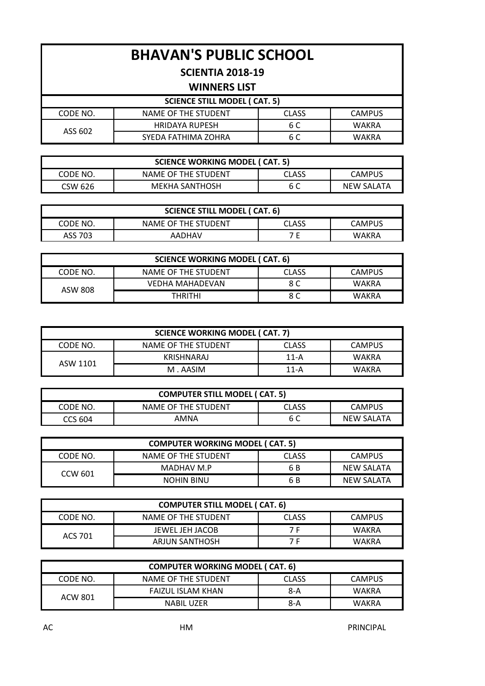# **BHAVAN'S PUBLIC SCHOOL**

### **SCIENTIA 2018-19**

#### **WINNERS LIST**

| SCIENCE STILL MODEL (CAT. 5) |                       |              |               |
|------------------------------|-----------------------|--------------|---------------|
| CODE NO.                     | NAME OF THE STUDENT   | <b>CLASS</b> | <b>CAMPUS</b> |
| ASS 602                      | <b>HRIDAYA RUPESH</b> | 6 C          | WAKRA         |
|                              | SYEDA FATHIMA ZOHRA   | 6 C          | WAKRA         |

| <b>SCIENCE WORKING MODEL (CAT. 5)</b>          |                     |       |               |  |
|------------------------------------------------|---------------------|-------|---------------|--|
| CODE NO.                                       | NAME OF THE STUDENT | CLASS | <b>CAMPUS</b> |  |
| MEKHA SANTHOSH<br>6 C<br>NEW SALATA<br>CSW 626 |                     |       |               |  |

| SCIENCE STILL MODEL (CAT. 6) |                     |       |        |  |
|------------------------------|---------------------|-------|--------|--|
| CODE NO.                     | NAME OF THE STUDENT | CLASS | CAMPUS |  |
| ASS 703<br>AADHAV<br>WAKRA   |                     |       |        |  |

| <b>SCIENCE WORKING MODEL (CAT. 6)</b> |                     |              |        |
|---------------------------------------|---------------------|--------------|--------|
| CODE NO.                              | NAME OF THE STUDENT | <b>CLASS</b> | CAMPUS |
| ASW 808                               | VEDHA MAHADEVAN     | 8 C          | WAKRA  |
|                                       | <b>THRITHI</b>      | 8 C          | WAKRA  |

| SCIENCE WORKING MODEL (CAT. 7) |                     |              |               |
|--------------------------------|---------------------|--------------|---------------|
| CODE NO.                       | NAME OF THE STUDENT | <b>CLASS</b> | <b>CAMPUS</b> |
| ASW 1101                       | KRISHNARAJ          | $11 - A$     | WAKRA         |
|                                | M . AASIM           | $11 - A$     | <b>WAKRA</b>  |

| <b>COMPUTER STILL MODEL (CAT. 5)</b> |                     |       |               |
|--------------------------------------|---------------------|-------|---------------|
| CODE NO.                             | NAME OF THE STUDENT | CLASS | <b>CAMPUS</b> |
| CCS 604                              | AMNA                | 6 C   | NEW SALATA    |

| <b>COMPUTER WORKING MODEL (CAT. 5)</b> |                     |              |            |
|----------------------------------------|---------------------|--------------|------------|
| CODE NO.                               | NAME OF THE STUDENT | <b>CLASS</b> | CAMPUS     |
| CCW 601                                | MADHAV M.P          | 6 B          | NEW SALATA |
|                                        | <b>NOHIN BINU</b>   | 6 B          | NEW SALATA |

| <b>COMPUTER STILL MODEL (CAT. 6)</b> |                     |              |               |
|--------------------------------------|---------------------|--------------|---------------|
| CODE NO.                             | NAME OF THE STUDENT | <b>CLASS</b> | <b>CAMPUS</b> |
| ACS 701                              | JEWEL JEH JACOB     | 7 F          | <b>WAKRA</b>  |
|                                      | ARJUN SANTHOSH      | 7 E          | WAKRA         |

| <b>COMPUTER WORKING MODEL (CAT. 6)</b> |                          |              |               |
|----------------------------------------|--------------------------|--------------|---------------|
| CODE NO.                               | NAME OF THE STUDENT      | <b>CLASS</b> | <b>CAMPUS</b> |
| ACW 801                                | <b>FAIZUL ISLAM KHAN</b> | 8-A          | WAKRA         |
|                                        | NABIL UZER               | 8-A          | WAKRA         |